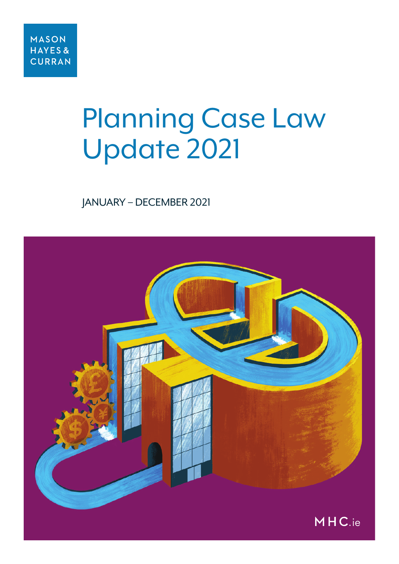# Planning Case Law Update 2021

#### JANUARY – DECEMBER 2021

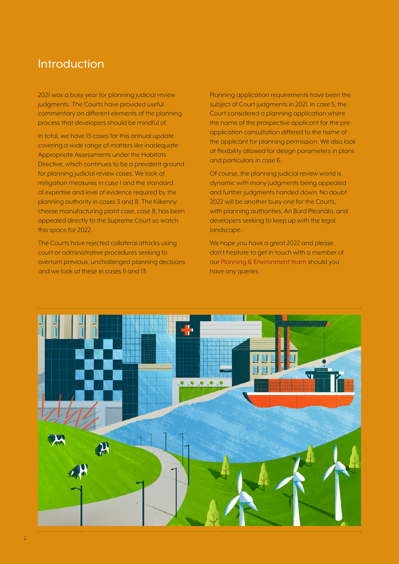#### Introduction

2021 was a busy year for planning judicial review judgments. The Courts have provided useful commentary on different elements of the planning process that developers should be mindful of.

In total, we have 13 cases for this annual update covering a wide range of matters like inadequate Appropriate Assessments under the Habitats Directive, which continues to be a prevalent ground for planning judicial review cases. We look at mitigation measures in case 1 and the standard of expertise and level of evidence required by the planning authority in cases 3 and 8. The Kilkenny cheese manufacturing plant case, case 8, has been appealed directly to the Supreme Court so watch this space for 2022.

The Courts have rejected collateral attacks using court or administrative procedures seeking to overturn previous, unchallenged planning decisions and we look at these in cases 11 and 13.

Planning application requirements have been the subject of Court judgments in 2021. In case 5, the Court considered a planning application where the name of the prospective applicant for the preapplication consultation differed to the name of the applicant for planning permission. We also look at flexibility allowed for design parameters in plans and particulars in case 6.

Of course, the planning judicial review world is dynamic with many judgments being appealed and further judgments handed down. No doubt 2022 will be another busy one for the Courts, with planning authorities, An Bord Pleanála, and developers seeking to keep up with the legal landscape.

We hope you have a great 2022 and please don't hesitate to get in touch with a member of our [Planning & Environment team](https://www.mhc.ie/practice-areas/planning-and-environment-law) should you have any queries.

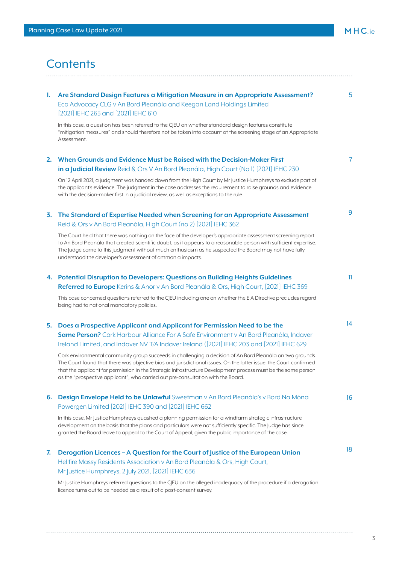# **Contents**

| 1. | Are Standard Design Features a Mitigation Measure in an Appropriate Assessment?<br>Eco Advocacy CLG v An Bord Pleanála and Keegan Land Holdings Limited<br>[2021] IEHC 265 and [2021] IEHC 610                                                                                                                                                                                                          | 5              |
|----|---------------------------------------------------------------------------------------------------------------------------------------------------------------------------------------------------------------------------------------------------------------------------------------------------------------------------------------------------------------------------------------------------------|----------------|
|    | In this case, a question has been referred to the CJEU on whether standard design features constitute<br>"mitigation measures" and should therefore not be taken into account at the screening stage of an Appropriate<br>Assessment.                                                                                                                                                                   |                |
|    | 2. When Grounds and Evidence Must be Raised with the Decision-Maker First<br>in a Judicial Review Reid & Ors V An Bord Pleanála, High Court (No 1) [2021] IEHC 230                                                                                                                                                                                                                                      | $\overline{7}$ |
|    | On 12 April 2021, a judgment was handed down from the High Court by Mr Justice Humphreys to exclude part of<br>the applicant's evidence. The judgment in the case addresses the requirement to raise grounds and evidence<br>with the decision-maker first in a judicial review, as well as exceptions to the rule.                                                                                     |                |
| 3. | The Standard of Expertise Needed when Screening for an Appropriate Assessment<br>Reid & Ors v An Bord Pleanála, High Court (no 2) [2021] IEHC 362                                                                                                                                                                                                                                                       | 9              |
|    | The Court held that there was nothing on the face of the developer's appropriate assessment screening report<br>to An Bord Pleanála that created scientific doubt, as it appears to a reasonable person with sufficient expertise.<br>The Judge came to this judgment without much enthusiasm as he suspected the Board may not have fully<br>understood the developer's assessment of ammonia impacts. |                |
|    | 4. Potential Disruption to Developers: Questions on Building Heights Guidelines                                                                                                                                                                                                                                                                                                                         | 11             |
|    | Referred to Europe Kerins & Anor v An Bord Pleanála & Ors, High Court, [2021] IEHC 369                                                                                                                                                                                                                                                                                                                  |                |
|    | This case concerned questions referred to the CJEU including one on whether the EIA Directive precludes regard<br>being had to national mandatory policies.                                                                                                                                                                                                                                             |                |
| 5. | Does a Prospective Applicant and Applicant for Permission Need to be the<br>Same Person? Cork Harbour Alliance For A Safe Environment v An Bord Pleanála, Indaver<br>Ireland Limited, and Indaver NV T/A Indaver Ireland ([2021] IEHC 203 and [2021] IEHC 629<br>Cork environmental community group succeeds in challenging a decision of An Bord Pleanála on two grounds.                              | 14             |
|    | The Court found that there was objective bias and jurisdictional issues. On the latter issue, the Court confirmed<br>that the applicant for permission in the Strategic Infrastructure Development process must be the same person<br>as the "prospective applicant", who carried out pre-consultation with the Board.                                                                                  |                |
|    | 6. Design Envelope Held to be Unlawful Sweetman v An Bord Pleanála's v Bord Na Móna<br>Powergen Limited [2021] IEHC 390 and [2021] IEHC 662                                                                                                                                                                                                                                                             | 16             |
|    | In this case, Mr Justice Humphreys quashed a planning permission for a windfarm strategic infrastructure<br>development on the basis that the plans and particulars were not sufficiently specific. The Judge has since<br>granted the Board leave to appeal to the Court of Appeal, given the public importance of the case.                                                                           |                |
| 7. | Derogation Licences - A Question for the Court of Justice of the European Union                                                                                                                                                                                                                                                                                                                         | 18             |
|    | Hellfire Massy Residents Association v An Bord Pleanála & Ors, High Court,                                                                                                                                                                                                                                                                                                                              |                |
|    | Mr Justice Humphreys, 2 July 2021, [2021] IEHC 636                                                                                                                                                                                                                                                                                                                                                      |                |
|    | Mr Justice Humphreys referred questions to the CJEU on the alleged inadequacy of the procedure if a derogation<br>licence turns out to be needed as a result of a post-consent survey.                                                                                                                                                                                                                  |                |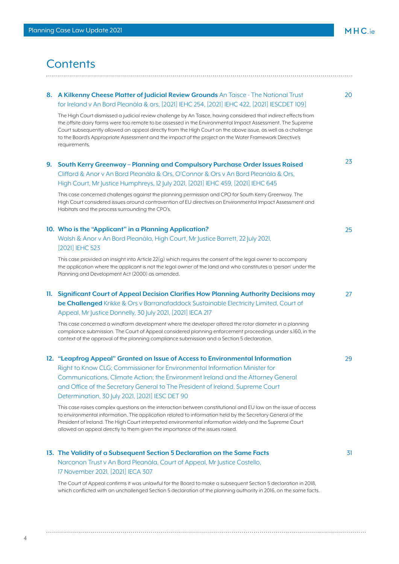#### **Contents**

|     | 8. A Kilkenny Cheese Platter of Judicial Review Grounds An Taisce - The National Trust                                                                                                                                                                                                                                                                                                                                                                                   | 20  |
|-----|--------------------------------------------------------------------------------------------------------------------------------------------------------------------------------------------------------------------------------------------------------------------------------------------------------------------------------------------------------------------------------------------------------------------------------------------------------------------------|-----|
|     | for Ireland v An Bord Pleanála & ors, [2021] IEHC 254, [2021] IEHC 422, [2021] IESCDET 109]                                                                                                                                                                                                                                                                                                                                                                              |     |
|     | The High Court dismissed a judicial review challenge by An Taisce, having considered that indirect effects from<br>the offsite dairy farms were too remote to be assessed in the Environmental Impact Assessment. The Supreme<br>Court subsequently allowed an appeal directly from the High Court on the above issue, as well as a challenge<br>to the Board's Appropriate Assessment and the impact of the project on the Water Framework Directive's<br>requirements. |     |
| 9.  | South Kerry Greenway - Planning and Compulsory Purchase Order Issues Raised                                                                                                                                                                                                                                                                                                                                                                                              | 23  |
|     | Clifford & Anor v An Bord Pleanála & Ors, O'Connor & Ors v An Bord Pleanála & Ors,                                                                                                                                                                                                                                                                                                                                                                                       |     |
|     | High Court, Mr Justice Humphreys, 12 July 2021, [2021] IEHC 459, [2021] IEHC 645                                                                                                                                                                                                                                                                                                                                                                                         |     |
|     | This case concerned challenges against the planning permission and CPO for South Kerry Greenway. The<br>High Court considered issues around contravention of EU directives on Environmental Impact Assessment and<br>Habitats and the process surrounding the CPO's.                                                                                                                                                                                                     |     |
|     | 10. Who is the "Applicant" in a Planning Application?                                                                                                                                                                                                                                                                                                                                                                                                                    | 25  |
|     | Walsh & Anor v An Bord Pleanála, High Court, Mr Justice Barrett, 22 July 2021,<br>[2021] IEHC 523                                                                                                                                                                                                                                                                                                                                                                        |     |
|     | This case provided an insight into Article 22(g) which requires the consent of the legal owner to accompany<br>the application where the applicant is not the legal owner of the land and who constitutes a 'person' under the<br>Planning and Development Act (2000) as amended.                                                                                                                                                                                        |     |
| 11. | Significant Court of Appeal Decision Clarifies How Planning Authority Decisions may                                                                                                                                                                                                                                                                                                                                                                                      | 27  |
|     | be Challenged Krikke & Ors v Barranafaddock Sustainable Electricity Limited, Court of<br>Appeal, Mr Justice Donnelly, 30 July 2021, [2021] IECA 217                                                                                                                                                                                                                                                                                                                      |     |
|     | This case concerned a windfarm development where the developer altered the rotor diameter in a planning<br>compliance submission. The Court of Appeal considered planning enforcement proceedings under s.160, in the<br>context of the approval of the planning compliance submission and a Section 5 declaration.                                                                                                                                                      |     |
|     | 12. "Leapfrog Appeal" Granted on Issue of Access to Environmental Information                                                                                                                                                                                                                                                                                                                                                                                            | 29  |
|     | Right to Know CLG; Commissioner for Environmental Information Minister for                                                                                                                                                                                                                                                                                                                                                                                               |     |
|     | Communications, Climate Action; the Environment Ireland and the Attorney General<br>and Office of the Secretary General to The President of Ireland. Supreme Court<br>Determination, 30 July 2021, [2021] IESC DET 90                                                                                                                                                                                                                                                    |     |
|     |                                                                                                                                                                                                                                                                                                                                                                                                                                                                          |     |
|     | This case raises complex questions on the interaction between constitutional and EU law on the issue of access<br>to environmental information. The application related to information held by the Secretary General of the<br>President of Ireland. The High Court interpreted environmental information widely and the Supreme Court<br>allowed an appeal directly to them given the importance of the issues raised.                                                  |     |
|     | 13. The Validity of a Subsequent Section 5 Declaration on the Same Facts                                                                                                                                                                                                                                                                                                                                                                                                 | 31. |
|     | Narconon Trust v An Bord Pleanála, Court of Appeal, Mr Justice Costello,<br>17 November 2021, [2021] IECA 307                                                                                                                                                                                                                                                                                                                                                            |     |
|     |                                                                                                                                                                                                                                                                                                                                                                                                                                                                          |     |

The Court of Appeal confirms it was unlawful for the Board to make a subsequent Section 5 declaration in 2018, which conflicted with an unchallenged Section 5 declaration of the planning authority in 2016, on the same facts.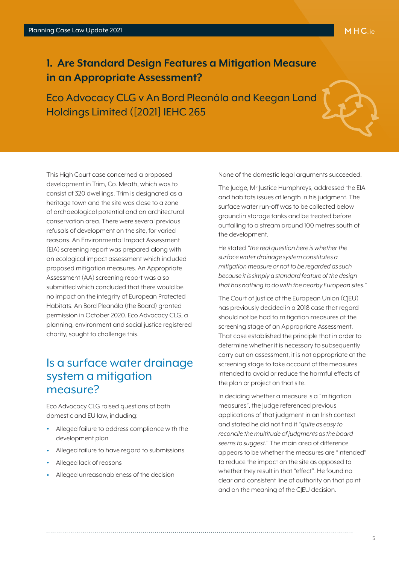#### <span id="page-4-0"></span>**1. Are Standard Design Features a Mitigation Measure in an Appropriate Assessment?**

Eco Advocacy CLG v An Bord Pleanála and Keegan Land Holdings Limited ([2021] IEHC 265



This High Court case concerned a proposed development in Trim, Co. Meath, which was to consist of 320 dwellings. Trim is designated as a heritage town and the site was close to a zone of archaeological potential and an architectural conservation area. There were several previous refusals of development on the site, for varied reasons. An Environmental Impact Assessment (EIA) screening report was prepared along with an ecological impact assessment which included proposed mitigation measures. An Appropriate Assessment (AA) screening report was also submitted which concluded that there would be no impact on the integrity of European Protected Habitats. An Bord Pleanála (the Board) granted permission in October 2020. Eco Advocacy CLG, a planning, environment and social justice registered charity, sought to challenge this.

#### Is a surface water drainage system a mitigation measure?

Eco Advocacy CLG raised questions of both domestic and EU law, including:

- Alleged failure to address compliance with the development plan
- Alleged failure to have regard to submissions
- Alleged lack of reasons
- Alleged unreasonableness of the decision

None of the domestic legal arguments succeeded.

The Judge, Mr Justice Humphreys, addressed the EIA and habitats issues at length in his judgment. The surface water run-off was to be collected below ground in storage tanks and be treated before outfalling to a stream around 100 metres south of the development.

He stated *"the real question here is whether the surface water drainage system constitutes a mitigation measure or not to be regarded as such because it is simply a standard feature of the design that has nothing to do with the nearby European sites."*

The Court of Justice of the European Union (CJEU) has previously decided in a 2018 case that regard should not be had to mitigation measures at the screening stage of an Appropriate Assessment. That case established the principle that in order to determine whether it is necessary to subsequently carry out an assessment, it is not appropriate at the screening stage to take account of the measures intended to avoid or reduce the harmful effects of the plan or project on that site.

In deciding whether a measure is a "mitigation measures", the Judge referenced previous applications of that judgment in an Irish context and stated he did not find it *"quite as easy to reconcile the multitude of judgments as the board seems to suggest."* The main area of difference appears to be whether the measures are "intended" to reduce the impact on the site as opposed to whether they result in that "effect". He found no clear and consistent line of authority on that point and on the meaning of the C|EU decision.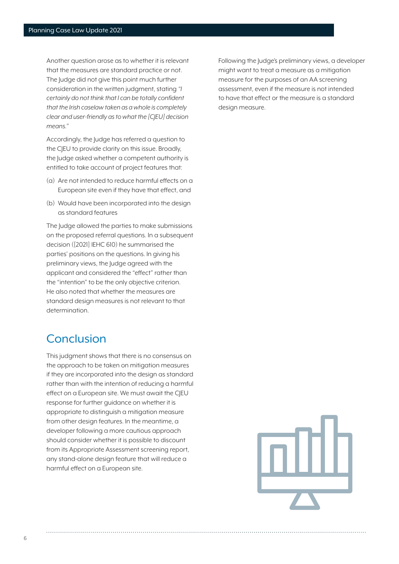Another question arose as to whether it is relevant that the measures are standard practice or not. The Judge did not give this point much further consideration in the written judgment, stating *"I certainly do not think that I can be totally confident that the Irish caselaw taken as a whole is completely clear and user-friendly as to what the [CJEU] decision means."*

Accordingly, the Judge has referred a question to the C|EU to provide clarity on this issue. Broadly, the Judge asked whether a competent authority is entitled to take account of project features that:

- (a) Are not intended to reduce harmful effects on a European site even if they have that effect, and
- (b) Would have been incorporated into the design as standard features

The Judge allowed the parties to make submissions on the proposed referral questions. In a subsequent decision ([2021] IEHC 610) he summarised the parties' positions on the questions. In giving his preliminary views, the Judge agreed with the applicant and considered the "effect" rather than the "intention" to be the only objective criterion. He also noted that whether the measures are standard design measures is not relevant to that determination.

#### **Conclusion**

This judgment shows that there is no consensus on the approach to be taken on mitigation measures if they are incorporated into the design as standard rather than with the intention of reducing a harmful effect on a European site. We must await the CJEU response for further guidance on whether it is appropriate to distinguish a mitigation measure from other design features. In the meantime, a developer following a more cautious approach should consider whether it is possible to discount from its Appropriate Assessment screening report, any stand-alone design feature that will reduce a harmful effect on a European site.

Following the Judge's preliminary views, a developer might want to treat a measure as a mitigation measure for the purposes of an AA screening assessment, even if the measure is not intended to have that effect or the measure is a standard design measure.

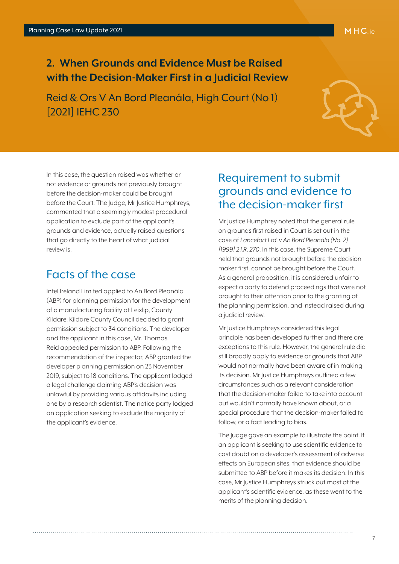#### <span id="page-6-0"></span>**2. When Grounds and Evidence Must be Raised with the Decision-Maker First in a Judicial Review**

Reid & Ors V An Bord Pleanála, High Court (No 1) [2021] IEHC 230



In this case, the question raised was whether or not evidence or grounds not previously brought before the decision-maker could be brought before the Court. The Judge, Mr Justice Humphreys, commented that a seemingly modest procedural application to exclude part of the applicant's grounds and evidence, actually raised questions that go directly to the heart of what judicial review is.

#### Facts of the case

Intel Ireland Limited applied to An Bord Pleanála (ABP) for planning permission for the development of a manufacturing facility at Leixlip, County Kildare. Kildare County Council decided to grant permission subject to 34 conditions. The developer and the applicant in this case, Mr. Thomas Reid appealed permission to ABP. Following the recommendation of the inspector, ABP granted the developer planning permission on 23 November 2019, subject to 18 conditions. The applicant lodged a legal challenge claiming ABP's decision was unlawful by providing various affidavits including one by a research scientist. The notice party lodged an application seeking to exclude the majority of the applicant's evidence.

#### Requirement to submit grounds and evidence to the decision-maker first

Mr Justice Humphrey noted that the general rule on grounds first raised in Court is set out in the case of *Lancefort Ltd. v An Bord Pleanála (No. 2) [1999] 2 I.R. 270*. In this case, the Supreme Court held that grounds not brought before the decision maker first, cannot be brought before the Court. As a general proposition, it is considered unfair to expect a party to defend proceedings that were not brought to their attention prior to the granting of the planning permission, and instead raised during a judicial review.

Mr Justice Humphreys considered this legal principle has been developed further and there are exceptions to this rule. However, the general rule did still broadly apply to evidence or grounds that ABP would not normally have been aware of in making its decision. Mr Justice Humphreys outlined a few circumstances such as a relevant consideration that the decision-maker failed to take into account but wouldn't normally have known about, or a special procedure that the decision-maker failed to follow, or a fact leading to bias.

The Judge gave an example to illustrate the point. If an applicant is seeking to use scientific evidence to cast doubt on a developer's assessment of adverse effects on European sites, that evidence should be submitted to ABP before it makes its decision. In this case, Mr Justice Humphreys struck out most of the applicant's scientific evidence, as these went to the merits of the planning decision.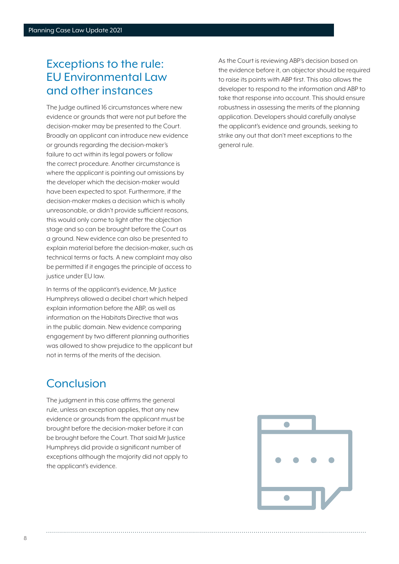#### Exceptions to the rule: EU Environmental Law and other instances

The Judge outlined 16 circumstances where new evidence or grounds that were not put before the decision-maker may be presented to the Court. Broadly an applicant can introduce new evidence or grounds regarding the decision-maker's failure to act within its legal powers or follow the correct procedure. Another circumstance is where the applicant is pointing out omissions by the developer which the decision-maker would have been expected to spot. Furthermore, if the decision-maker makes a decision which is wholly unreasonable, or didn't provide sufficient reasons, this would only come to light after the objection stage and so can be brought before the Court as a ground. New evidence can also be presented to explain material before the decision-maker, such as technical terms or facts. A new complaint may also be permitted if it engages the principle of access to justice under EU law.

In terms of the applicant's evidence, Mr Justice Humphreys allowed a decibel chart which helped explain information before the ABP, as well as information on the Habitats Directive that was in the public domain. New evidence comparing engagement by two different planning authorities was allowed to show prejudice to the applicant but not in terms of the merits of the decision.

#### **Conclusion**

The judgment in this case affirms the general rule, unless an exception applies, that any new evidence or grounds from the applicant must be brought before the decision-maker before it can be brought before the Court. That said Mr Justice Humphreys did provide a significant number of exceptions although the majority did not apply to the applicant's evidence.

As the Court is reviewing ABP's decision based on the evidence before it, an objector should be required to raise its points with ABP first. This also allows the developer to respond to the information and ABP to take that response into account. This should ensure robustness in assessing the merits of the planning application. Developers should carefully analyse the applicant's evidence and grounds, seeking to strike any out that don't meet exceptions to the general rule.

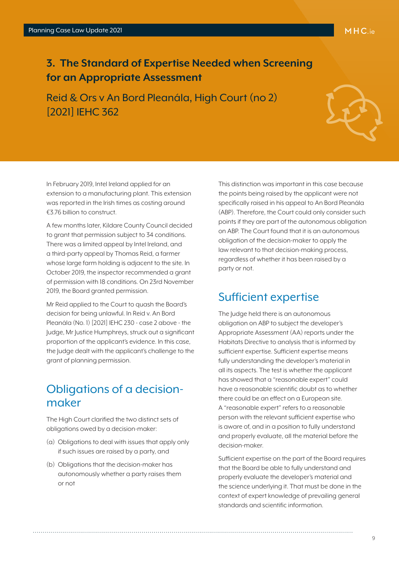#### <span id="page-8-0"></span>**3. The Standard of Expertise Needed when Screening for an Appropriate Assessment**

Reid & Ors v An Bord Pleanála, High Court (no 2) [2021] IEHC 362

In February 2019, Intel Ireland applied for an extension to a manufacturing plant. This extension was reported in the Irish times as costing around €3.76 billion to construct.

A few months later, Kildare County Council decided to grant that permission subject to 34 conditions. There was a limited appeal by Intel Ireland, and a third-party appeal by Thomas Reid, a farmer whose large farm holding is adjacent to the site. In October 2019, the inspector recommended a grant of permission with 18 conditions. On 23rd November 2019, the Board granted permission.

Mr Reid applied to the Court to quash the Board's decision for being unlawful. In Reid v. An Bord Pleanála (No. 1) [2021] IEHC 230 - case 2 above - the Judge, Mr Justice Humphreys, struck out a significant proportion of the applicant's evidence. In this case, the Judge dealt with the applicant's challenge to the grant of planning permission.

#### Obligations of a decisionmaker

The High Court clarified the two distinct sets of obligations owed by a decision-maker:

- (a) Obligations to deal with issues that apply only if such issues are raised by a party, and
- (b) Obligations that the decision-maker has autonomously whether a party raises them or not

This distinction was important in this case because the points being raised by the applicant were not specifically raised in his appeal to An Bord Pleanála (ABP). Therefore, the Court could only consider such points if they are part of the autonomous obligation on ABP. The Court found that it is an autonomous obligation of the decision-maker to apply the law relevant to that decision-making process, regardless of whether it has been raised by a party or not.

#### Sufficient expertise

The Judge held there is an autonomous obligation on ABP to subject the developer's Appropriate Assessment (AA) reports under the Habitats Directive to analysis that is informed by sufficient expertise. Sufficient expertise means fully understanding the developer's material in all its aspects. The test is whether the applicant has showed that a "reasonable expert" could have a reasonable scientific doubt as to whether there could be an effect on a European site. A "reasonable expert" refers to a reasonable person with the relevant sufficient expertise who is aware of, and in a position to fully understand and properly evaluate, all the material before the decision-maker.

Sufficient expertise on the part of the Board requires that the Board be able to fully understand and properly evaluate the developer's material and the science underlying it. That must be done in the context of expert knowledge of prevailing general standards and scientific information.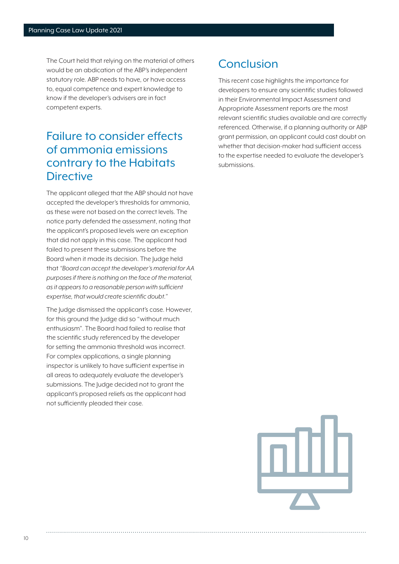The Court held that relying on the material of others would be an abdication of the ABP's independent statutory role. ABP needs to have, or have access to, equal competence and expert knowledge to know if the developer's advisers are in fact competent experts.

#### Failure to consider effects of ammonia emissions contrary to the Habitats **Directive**

The applicant alleged that the ABP should not have accepted the developer's thresholds for ammonia, as these were not based on the correct levels. The notice party defended the assessment, noting that the applicant's proposed levels were an exception that did not apply in this case. The applicant had failed to present these submissions before the Board when it made its decision. The Judge held that *"Board can accept the developer's material for AA purposes if there is nothing on the face of the material, as it appears to a reasonable person with sufficient expertise, that would create scientific doubt."* 

The Judge dismissed the applicant's case. However, for this ground the Judge did so "without much enthusiasm". The Board had failed to realise that the scientific study referenced by the developer for setting the ammonia threshold was incorrect. For complex applications, a single planning inspector is unlikely to have sufficient expertise in all areas to adequately evaluate the developer's submissions. The Judge decided not to grant the applicant's proposed reliefs as the applicant had not sufficiently pleaded their case.

## Conclusion

This recent case highlights the importance for developers to ensure any scientific studies followed in their Environmental Impact Assessment and Appropriate Assessment reports are the most relevant scientific studies available and are correctly referenced. Otherwise, if a planning authority or ABP grant permission, an applicant could cast doubt on whether that decision-maker had sufficient access to the expertise needed to evaluate the developer's submissions.

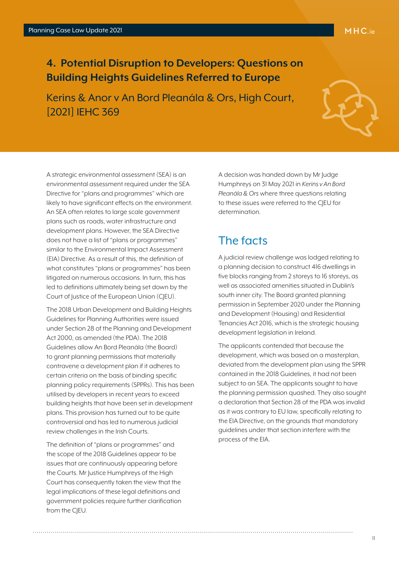#### <span id="page-10-0"></span>**4. Potential Disruption to Developers: Questions on Building Heights Guidelines Referred to Europe**

Kerins & Anor v An Bord Pleanála & Ors, High Court, [2021] IEHC 369



A strategic environmental assessment (SEA) is an environmental assessment required under the SEA Directive for "plans and programmes" which are likely to have significant effects on the environment. An SEA often relates to large scale government plans such as roads, water infrastructure and development plans. However, the SEA Directive does not have a list of "plans or programmes" similar to the Environmental Impact Assessment (EIA) Directive. As a result of this, the definition of what constitutes "plans or programmes" has been litigated on numerous occasions. In turn, this has led to definitions ultimately being set down by the Court of Justice of the European Union (CJEU).

The 2018 Urban Development and Building Heights Guidelines for Planning Authorities were issued under Section 28 of the Planning and Development Act 2000, as amended (the PDA). The 2018 Guidelines allow An Bord Pleanála (the Board) to grant planning permissions that materially contravene a development plan if it adheres to certain criteria on the basis of binding specific planning policy requirements (SPPRs). This has been utilised by developers in recent years to exceed building heights that have been set in development plans. This provision has turned out to be quite controversial and has led to numerous judicial review challenges in the Irish Courts.

The definition of "plans or programmes" and the scope of the 2018 Guidelines appear to be issues that are continuously appearing before the Courts. Mr Justice Humphreys of the High Court has consequently taken the view that the legal implications of these legal definitions and government policies require further clarification from the CIEU.

A decision was handed down by Mr Judge Humphreys on 31 May 2021 in *Kerins v An Bord Pleanála & Ors* where three questions relating to these issues were referred to the CJEU for determination.

#### The facts

A judicial review challenge was lodged relating to a planning decision to construct 416 dwellings in five blocks ranging from 2 storeys to 16 storeys, as well as associated amenities situated in Dublin's south inner city. The Board granted planning permission in September 2020 under the Planning and Development (Housing) and Residential Tenancies Act 2016, which is the strategic housing development legislation in Ireland.

The applicants contended that because the development, which was based on a masterplan, deviated from the development plan using the SPPR contained in the 2018 Guidelines, it had not been subject to an SEA. The applicants sought to have the planning permission quashed. They also sought a declaration that Section 28 of the PDA was invalid as it was contrary to EU law, specifically relating to the EIA Directive, on the grounds that mandatory guidelines under that section interfere with the process of the EIA.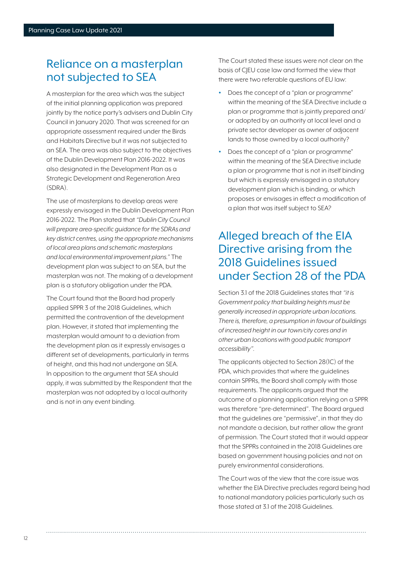#### Reliance on a masterplan not subjected to SEA

A masterplan for the area which was the subject of the initial planning application was prepared jointly by the notice party's advisers and Dublin City Council in January 2020. That was screened for an appropriate assessment required under the Birds and Habitats Directive but it was not subjected to an SEA. The area was also subject to the objectives of the Dublin Development Plan 2016-2022. It was also designated in the Development Plan as a Strategic Development and Regeneration Area (SDRA).

The use of masterplans to develop areas were expressly envisaged in the Dublin Development Plan 2016-2022. The Plan stated that *"Dublin City Council will prepare area-specific guidance for the SDRAs and key district centres, using the appropriate mechanisms of local area plans and schematic masterplans and local environmental improvement plans."* The development plan was subject to an SEA, but the masterplan was not. The making of a development plan is a statutory obligation under the PDA.

The Court found that the Board had properly applied SPPR 3 of the 2018 Guidelines, which permitted the contravention of the development plan. However, it stated that implementing the masterplan would amount to a deviation from the development plan as it expressly envisages a different set of developments, particularly in terms of height, and this had not undergone an SEA. In opposition to the argument that SEA should apply, it was submitted by the Respondent that the masterplan was not adopted by a local authority and is not in any event binding.

The Court stated these issues were not clear on the basis of CJEU case law and formed the view that there were two referable questions of EU law:

- Does the concept of a "plan or programme" within the meaning of the SEA Directive include a plan or programme that is jointly prepared and/ or adopted by an authority at local level and a private sector developer as owner of adjacent lands to those owned by a local authority?
- Does the concept of a "plan or programme" within the meaning of the SEA Directive include a plan or programme that is not in itself binding but which is expressly envisaged in a statutory development plan which is binding, or which proposes or envisages in effect a modification of a plan that was itself subject to SEA?

## Alleged breach of the EIA Directive arising from the 2018 Guidelines issued under Section 28 of the PDA

Section 3.1 of the 2018 Guidelines states that *"it is Government policy that building heights must be generally increased in appropriate urban locations. There is, therefore, a presumption in favour of buildings of increased height in our town/city cores and in other urban locations with good public transport accessibility".*

The applicants objected to Section 28(1C) of the PDA, which provides that where the guidelines contain SPPRs, the Board shall comply with those requirements. The applicants argued that the outcome of a planning application relying on a SPPR was therefore "pre-determined". The Board argued that the guidelines are "permissive", in that they do not mandate a decision, but rather allow the grant of permission. The Court stated that it would appear that the SPPRs contained in the 2018 Guidelines are based on government housing policies and not on purely environmental considerations.

The Court was of the view that the core issue was whether the EIA Directive precludes regard being had to national mandatory policies particularly such as those stated at 3.1 of the 2018 Guidelines.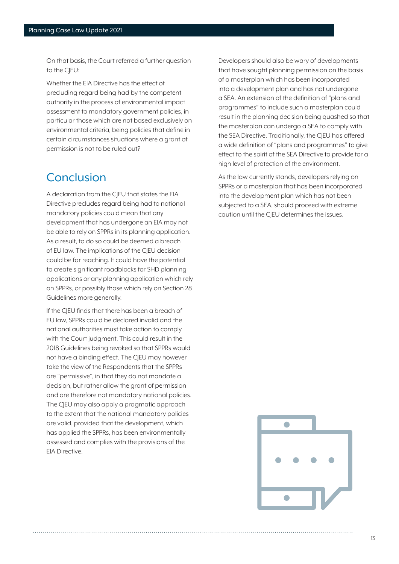On that basis, the Court referred a further question to the CIEU:

Whether the EIA Directive has the effect of precluding regard being had by the competent authority in the process of environmental impact assessment to mandatory government policies, in particular those which are not based exclusively on environmental criteria, being policies that define in certain circumstances situations where a grant of permission is not to be ruled out?

#### Conclusion

A declaration from the CJEU that states the EIA Directive precludes regard being had to national mandatory policies could mean that any development that has undergone an EIA may not be able to rely on SPPRs in its planning application. As a result, to do so could be deemed a breach of EU law. The implications of the CJEU decision could be far reaching. It could have the potential to create significant roadblocks for SHD planning applications or any planning application which rely on SPPRs, or possibly those which rely on Section 28 Guidelines more generally.

If the CIEU finds that there has been a breach of EU law, SPPRs could be declared invalid and the national authorities must take action to comply with the Court judgment. This could result in the 2018 Guidelines being revoked so that SPPRs would not have a binding effect. The CJEU may however take the view of the Respondents that the SPPRs are "permissive", in that they do not mandate a decision, but rather allow the grant of permission and are therefore not mandatory national policies. The CJEU may also apply a pragmatic approach to the extent that the national mandatory policies are valid, provided that the development, which has applied the SPPRs, has been environmentally assessed and complies with the provisions of the EIA Directive.

Developers should also be wary of developments that have sought planning permission on the basis of a masterplan which has been incorporated into a development plan and has not undergone a SEA. An extension of the definition of "plans and programmes" to include such a masterplan could result in the planning decision being quashed so that the masterplan can undergo a SEA to comply with the SEA Directive. Traditionally, the CIEU has offered a wide definition of "plans and programmes" to give effect to the spirit of the SEA Directive to provide for a high level of protection of the environment.

As the law currently stands, developers relying on SPPRs or a masterplan that has been incorporated into the development plan which has not been subjected to a SEA, should proceed with extreme caution until the CJEU determines the issues.

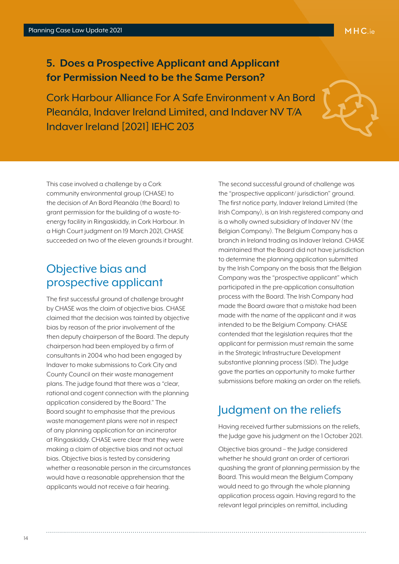<span id="page-13-0"></span>**5. Does a Prospective Applicant and Applicant for Permission Need to be the Same Person?** 

Cork Harbour Alliance For A Safe Environment v An Bord Pleanála, Indaver Ireland Limited, and Indaver NV T/A Indaver Ireland [2021] IEHC 203



This case involved a challenge by a Cork community environmental group (CHASE) to the decision of An Bord Pleanála (the Board) to grant permission for the building of a waste-toenergy facility in Ringaskiddy, in Cork Harbour. In a High Court judgment on 19 March 2021, CHASE succeeded on two of the eleven grounds it brought.

#### Objective bias and prospective applicant

The first successful ground of challenge brought by CHASE was the claim of objective bias. CHASE claimed that the decision was tainted by objective bias by reason of the prior involvement of the then deputy chairperson of the Board. The deputy chairperson had been employed by a firm of consultants in 2004 who had been engaged by Indaver to make submissions to Cork City and County Council on their waste management plans. The judge found that there was a "clear, rational and cogent connection with the planning application considered by the Board." The Board sought to emphasise that the previous waste management plans were not in respect of any planning application for an incinerator at Ringaskiddy. CHASE were clear that they were making a claim of objective bias and not actual bias. Objective bias is tested by considering whether a reasonable person in the circumstances would have a reasonable apprehension that the applicants would not receive a fair hearing.

The second successful ground of challenge was the "prospective applicant/ jurisdiction" ground. The first notice party, Indaver Ireland Limited (the Irish Company), is an Irish registered company and is a wholly owned subsidiary of Indaver NV (the Belgian Company). The Belgium Company has a branch in Ireland trading as Indaver Ireland. CHASE maintained that the Board did not have jurisdiction to determine the planning application submitted by the Irish Company on the basis that the Belgian Company was the "prospective applicant" which participated in the pre-application consultation process with the Board. The Irish Company had made the Board aware that a mistake had been made with the name of the applicant and it was intended to be the Belgium Company. CHASE contended that the legislation requires that the applicant for permission must remain the same in the Strategic Infrastructure Development substantive planning process (SID). The Judge gave the parties an opportunity to make further submissions before making an order on the reliefs.

#### Judgment on the reliefs

Having received further submissions on the reliefs, the Judge gave his judgment on the 1 October 2021.

Objective bias ground – the Judge considered whether he should grant an order of certiorari quashing the grant of planning permission by the Board. This would mean the Belgium Company would need to go through the whole planning application process again. Having regard to the relevant legal principles on remittal, including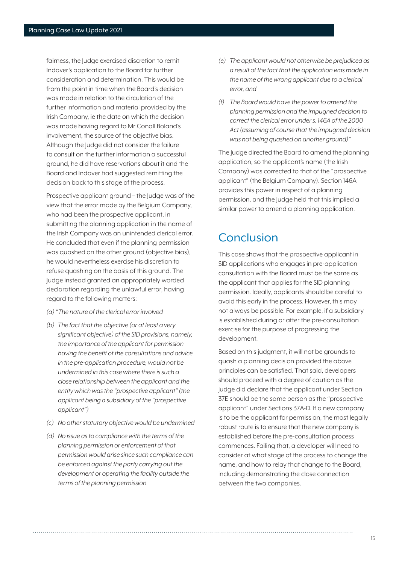fairness, the Judge exercised discretion to remit Indaver's application to the Board for further consideration and determination. This would be from the point in time when the Board's decision was made in relation to the circulation of the further information and material provided by the Irish Company, ie the date on which the decision was made having regard to Mr Conall Boland's involvement, the source of the objective bias. Although the Judge did not consider the failure to consult on the further information a successful ground, he did have reservations about it and the Board and Indaver had suggested remitting the decision back to this stage of the process.

Prospective applicant ground – the Judge was of the view that the error made by the Belgium Company, who had been the prospective applicant, in submitting the planning application in the name of the Irish Company was an unintended clerical error. He concluded that even if the planning permission was quashed on the other ground (objective bias), he would nevertheless exercise his discretion to refuse quashing on the basis of this ground. The Judge instead granted an appropriately worded declaration regarding the unlawful error, having regard to the following matters:

- *(a) "The nature of the clerical error involved*
- *(b) The fact that the objective (or at least a very significant objective) of the SID provisions, namely, the importance of the applicant for permission having the benefit of the consultations and advice in the pre-application procedure, would not be undermined in this case where there is such a close relationship between the applicant and the entity which was the "prospective applicant" (the applicant being a subsidiary of the "prospective applicant")*
- *(c) No other statutory objective would be undermined*
- *(d) No issue as to compliance with the terms of the planning permission or enforcement of that permission would arise since such compliance can be enforced against the party carrying out the development or operating the facility outside the terms of the planning permission*
- *(e) The applicant would not otherwise be prejudiced as a result of the fact that the application was made in the name of the wrong applicant due to a clerical error, and*
- *(f) The Board would have the power to amend the planning permission and the impugned decision to correct the clerical error under s. 146A of the 2000 Act (assuming of course that the impugned decision was not being quashed on another ground)"*

The Judge directed the Board to amend the planning application, so the applicant's name (the Irish Company) was corrected to that of the "prospective applicant" (the Belgium Company). Section 146A provides this power in respect of a planning permission, and the Judge held that this implied a similar power to amend a planning application.

#### **Conclusion**

This case shows that the prospective applicant in SID applications who engages in pre-application consultation with the Board must be the same as the applicant that applies for the SID planning permission. Ideally, applicants should be careful to avoid this early in the process. However, this may not always be possible. For example, if a subsidiary is established during or after the pre-consultation exercise for the purpose of progressing the development.

Based on this judgment, it will not be grounds to quash a planning decision provided the above principles can be satisfied. That said, developers should proceed with a degree of caution as the Judge did declare that the applicant under Section 37E should be the same person as the "prospective applicant" under Sections 37A-D. If a new company is to be the applicant for permission, the most legally robust route is to ensure that the new company is established before the pre-consultation process commences. Failing that, a developer will need to consider at what stage of the process to change the name, and how to relay that change to the Board, including demonstrating the close connection between the two companies.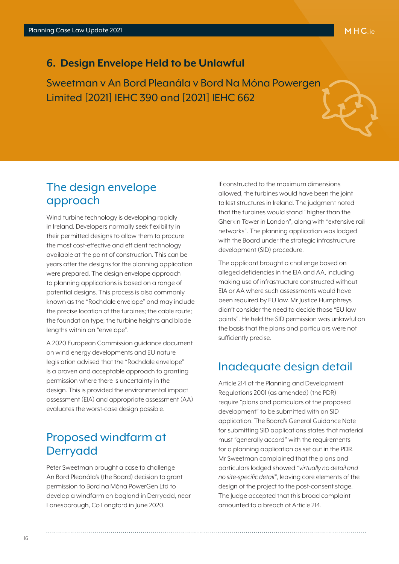#### <span id="page-15-0"></span>**6. Design Envelope Held to be Unlawful**

Sweetman v An Bord Pleanála v Bord Na Móna Powergen Limited [2021] IEHC 390 and [2021] IEHC 662

#### The design envelope approach

Wind turbine technology is developing rapidly in Ireland. Developers normally seek flexibility in their permitted designs to allow them to procure the most cost-effective and efficient technology available at the point of construction. This can be years after the designs for the planning application were prepared. The design envelope approach to planning applications is based on a range of potential designs. This process is also commonly known as the "Rochdale envelope" and may include the precise location of the turbines; the cable route; the foundation type; the turbine heights and blade lengths within an "envelope".

A 2020 European Commission guidance document on wind energy developments and EU nature legislation advised that the "Rochdale envelope" is a proven and acceptable approach to granting permission where there is uncertainty in the design. This is provided the environmental impact assessment (EIA) and appropriate assessment (AA) evaluates the worst-case design possible.

#### Proposed windfarm at Derryadd

Peter Sweetman brought a case to challenge An Bord Pleanála's (the Board) decision to grant permission to Bord na Móna PowerGen Ltd to develop a windfarm on bogland in Derryadd, near Lanesborough, Co Longford in June 2020.

If constructed to the maximum dimensions allowed, the turbines would have been the joint tallest structures in Ireland. The judgment noted that the turbines would stand "higher than the Gherkin Tower in London", along with "extensive rail networks". The planning application was lodged with the Board under the strategic infrastructure development (SID) procedure.

The applicant brought a challenge based on alleged deficiencies in the EIA and AA, including making use of infrastructure constructed without EIA or AA where such assessments would have been required by EU law. Mr Justice Humphreys didn't consider the need to decide those "EU law points". He held the SID permission was unlawful on the basis that the plans and particulars were not sufficiently precise.

## Inadequate design detail

Article 214 of the Planning and Development Regulations 2001 (as amended) (the PDR) require "plans and particulars of the proposed development" to be submitted with an SID application. The Board's General Guidance Note for submitting SID applications states that material must "generally accord" with the requirements for a planning application as set out in the PDR. Mr Sweetman complained that the plans and particulars lodged showed *"virtually no detail and no site-specific detail"*, leaving core elements of the design of the project to the post-consent stage. The Judge accepted that this broad complaint amounted to a breach of Article 214.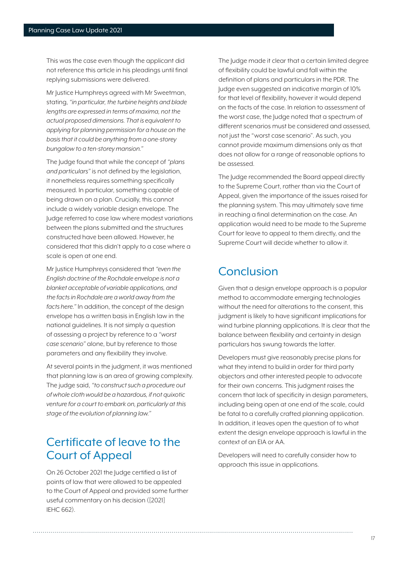This was the case even though the applicant did not reference this article in his pleadings until final replying submissions were delivered.

Mr Justice Humphreys agreed with Mr Sweetman, stating, *"in particular, the turbine heights and blade lengths are expressed in terms of maxima, not the actual proposed dimensions. That is equivalent to applying for planning permission for a house on the basis that it could be anything from a one-storey bungalow to a ten-storey mansion."*

The Judge found that while the concept of *"plans and particulars"* is not defined by the legislation, it nonetheless requires something specifically measured. In particular, something capable of being drawn on a plan. Crucially, this cannot include a widely variable design envelope. The Judge referred to case law where modest variations between the plans submitted and the structures constructed have been allowed. However, he considered that this didn't apply to a case where a scale is open at one end.

Mr Justice Humphreys considered that *"even the English doctrine of the Rochdale envelope is not a blanket acceptable of variable applications, and the facts in Rochdale are a world away from the facts here."* In addition, the concept of the design envelope has a written basis in English law in the national guidelines. It is not simply a question of assessing a project by reference to a *"worst case scenario"* alone, but by reference to those parameters and any flexibility they involve.

At several points in the judgment, it was mentioned that planning law is an area of growing complexity. The judge said, *"to construct such a procedure out of whole cloth would be a hazardous, if not quixotic venture for a court to embark on, particularly at this stage of the evolution of planning law."*

#### Certificate of leave to the Court of Appeal

On 26 October 2021 the Judge certified a list of points of law that were allowed to be appealed to the Court of Appeal and provided some further useful commentary on his decision ([2021] IEHC 662).

The Judge made it clear that a certain limited degree of flexibility could be lawful and fall within the definition of plans and particulars in the PDR. The Judge even suggested an indicative margin of 10% for that level of flexibility, however it would depend on the facts of the case. In relation to assessment of the worst case, the Judge noted that a spectrum of different scenarios must be considered and assessed, not just the "worst case scenario". As such, you cannot provide maximum dimensions only as that does not allow for a range of reasonable options to be assessed.

The Judge recommended the Board appeal directly to the Supreme Court, rather than via the Court of Appeal, given the importance of the issues raised for the planning system. This may ultimately save time in reaching a final determination on the case. An application would need to be made to the Supreme Court for leave to appeal to them directly, and the Supreme Court will decide whether to allow it.

#### **Conclusion**

Given that a design envelope approach is a popular method to accommodate emerging technologies without the need for alterations to the consent, this judgment is likely to have significant implications for wind turbine planning applications. It is clear that the balance between flexibility and certainty in design particulars has swung towards the latter.

Developers must give reasonably precise plans for what they intend to build in order for third party objectors and other interested people to advocate for their own concerns. This judgment raises the concern that lack of specificity in design parameters, including being open at one end of the scale, could be fatal to a carefully crafted planning application. In addition, it leaves open the question of to what extent the design envelope approach is lawful in the context of an EIA or AA.

Developers will need to carefully consider how to approach this issue in applications.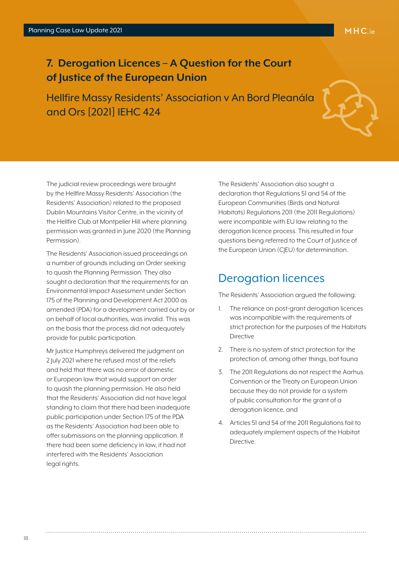#### <span id="page-17-0"></span>**7. Derogation Licences – A Question for the Court of Justice of the European Union**

Hellfire Massy Residents' Association v An Bord Pleanála and Ors [2021] IEHC 424



The judicial review proceedings were brought by the Hellfire Massy Residents' Association (the Residents' Association) related to the proposed Dublin Mountains Visitor Centre, in the vicinity of the Hellfire Club at Montpelier Hill where planning permission was granted in June 2020 (the Planning Permission).

The Residents' Association issued proceedings on a number of grounds including an Order seeking to quash the Planning Permission. They also sought a declaration that the requirements for an Environmental Impact Assessment under Section 175 of the Planning and Development Act 2000 as amended (PDA) for a development carried out by or on behalf of local authorities, was invalid. This was on the basis that the process did not adequately provide for public participation.

Mr Justice Humphreys delivered the judgment on 2 July 2021 where he refused most of the reliefs and held that there was no error of domestic or European law that would support an order to quash the planning permission. He also held that the Residents' Association did not have legal standing to claim that there had been inadequate public participation under Section 175 of the PDA as the Residents' Association had been able to offer submissions on the planning application. If there had been some deficiency in law, it had not interfered with the Residents' Association legal rights.

The Residents' Association also sought a declaration that Regulations 51 and 54 of the European Communities (Birds and Natural Habitats) Regulations 2011 (the 2011 Regulations) were incompatible with EU law relating to the derogation licence process. This resulted in four questions being referred to the Court of Justice of the European Union (C|EU) for determination.

#### Derogation licences

The Residents' Association argued the following:

- 1. The reliance on post-grant derogation licences was incompatible with the requirements of strict protection for the purposes of the Habitats Directive
- 2. There is no system of strict protection for the protection of, among other things, bat fauna
- 3. The 2011 Regulations do not respect the Aarhus Convention or the Treaty on European Union because they do not provide for a system of public consultation for the grant of a derogation licence, and
- 4. Articles 51 and 54 of the 2011 Regulations fail to adequately implement aspects of the Habitat Directive.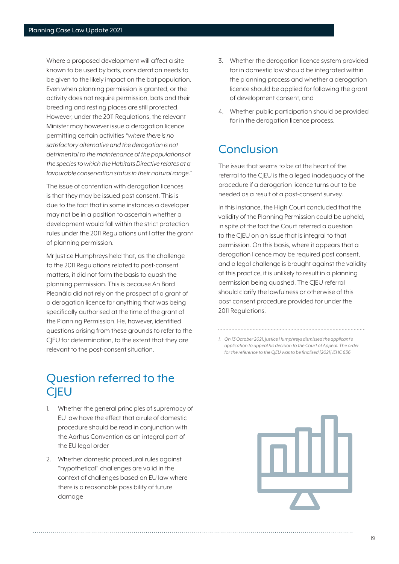Where a proposed development will affect a site known to be used by bats, consideration needs to be given to the likely impact on the bat population. Even when planning permission is granted, or the activity does not require permission, bats and their breeding and resting places are still protected. However, under the 2011 Regulations, the relevant Minister may however issue a derogation licence permitting certain activities *"where there is no satisfactory alternative and the derogation is not detrimental to the maintenance of the populations of the species to which the Habitats Directive relates at a favourable conservation status in their natural range."*

The issue of contention with derogation licences is that they may be issued post consent. This is due to the fact that in some instances a developer may not be in a position to ascertain whether a development would fall within the strict protection rules under the 2011 Regulations until after the grant of planning permission.

Mr Justice Humphreys held that, as the challenge to the 2011 Regulations related to post-consent matters, it did not form the basis to quash the planning permission. This is because An Bord Pleanála did not rely on the prospect of a grant of a derogation licence for anything that was being specifically authorised at the time of the grant of the Planning Permission. He, however, identified questions arising from these grounds to refer to the CJEU for determination, to the extent that they are relevant to the post-consent situation.

- 3. Whether the derogation licence system provided for in domestic law should be integrated within the planning process and whether a derogation licence should be applied for following the grant of development consent, and
- 4. Whether public participation should be provided for in the derogation licence process.

#### Conclusion

The issue that seems to be at the heart of the referral to the CJEU is the alleged inadequacy of the procedure if a derogation licence turns out to be needed as a result of a post-consent survey.

In this instance, the High Court concluded that the validity of the Planning Permission could be upheld, in spite of the fact the Court referred a question to the CJEU on an issue that is integral to that permission. On this basis, where it appears that a derogation licence may be required post consent, and a legal challenge is brought against the validity of this practice, it is unlikely to result in a planning permission being quashed. The C|EU referral should clarify the lawfulness or otherwise of this post consent procedure provided for under the 2011 Regulations.<sup>1</sup>

#### Question referred to the **CIEU**

- 1. Whether the general principles of supremacy of EU law have the effect that a rule of domestic procedure should be read in conjunction with the Aarhus Convention as an integral part of the EU legal order
- 2. Whether domestic procedural rules against "hypothetical" challenges are valid in the context of challenges based on EU law where there is a reasonable possibility of future damage

*<sup>1.</sup> On 13 October 2021, Justice Humphreys dismissed the applicant's application to appeal his decision to the Court of Appeal. The order for the reference to the CJEU was to be finalised [2021] IEHC 636*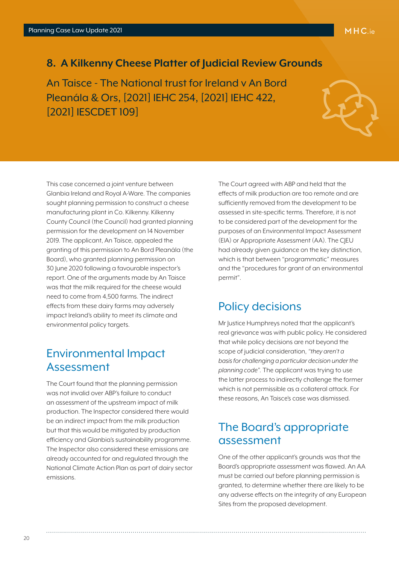#### <span id="page-19-0"></span>**8. A Kilkenny Cheese Platter of Judicial Review Grounds**

An Taisce - The National trust for Ireland v An Bord Pleanála & Ors, [2021] IEHC 254, [2021] IEHC 422, [2021] IESCDET 109]

This case concerned a joint venture between Glanbia Ireland and Royal A-Ware. The companies sought planning permission to construct a cheese manufacturing plant in Co. Kilkenny. Kilkenny County Council (the Council) had granted planning permission for the development on 14 November 2019. The applicant, An Taisce, appealed the granting of this permission to An Bord Pleanála (the Board), who granted planning permission on 30 June 2020 following a favourable inspector's report. One of the arguments made by An Taisce was that the milk required for the cheese would need to come from 4,500 farms. The indirect effects from these dairy farms may adversely impact Ireland's ability to meet its climate and environmental policy targets.

#### Environmental Impact Assessment

The Court found that the planning permission was not invalid over ABP's failure to conduct an assessment of the upstream impact of milk production. The Inspector considered there would be an indirect impact from the milk production but that this would be mitigated by production efficiency and Glanbia's sustainability programme. The Inspector also considered these emissions are already accounted for and regulated through the National Climate Action Plan as part of dairy sector emissions.

The Court agreed with ABP and held that the effects of milk production are too remote and are sufficiently removed from the development to be assessed in site-specific terms. Therefore, it is not to be considered part of the development for the purposes of an Environmental Impact Assessment (EIA) or Appropriate Assessment (AA). The CJEU had already given guidance on the key distinction, which is that between "programmatic" measures and the "procedures for grant of an environmental permit".

#### Policy decisions

Mr Justice Humphreys noted that the applicant's real grievance was with public policy. He considered that while policy decisions are not beyond the scope of judicial consideration, *"they aren't a basis for challenging a particular decision under the planning code".* The applicant was trying to use the latter process to indirectly challenge the former which is not permissible as a collateral attack. For these reasons, An Taisce's case was dismissed.

#### The Board's appropriate assessment

One of the other applicant's grounds was that the Board's appropriate assessment was flawed. An AA must be carried out before planning permission is granted, to determine whether there are likely to be any adverse effects on the integrity of any European Sites from the proposed development.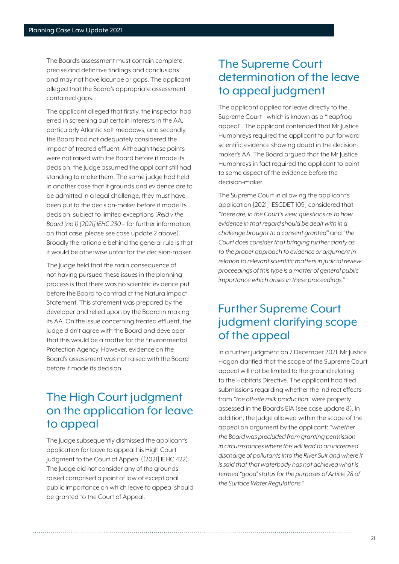The Board's assessment must contain complete, precise and definitive findings and conclusions and may not have lacunae or gaps. The applicant alleged that the Board's appropriate assessment contained gaps.

The applicant alleged that firstly, the inspector had erred in screening out certain interests in the AA, particularly Atlantic salt meadows, and secondly, the Board had not adequately considered the impact of treated effluent. Although these points were not raised with the Board before it made its decision, the Judge assumed the applicant still had standing to make them. The same judge had held in another case that if grounds and evidence are to be admitted in a legal challenge, they must have been put to the decision-maker before it made its decision, subject to limited exceptions (*Reid v the Board (no 1) [2021] IEHC 230* – for further information on that case, please see case update 2 above). Broadly the rationale behind the general rule is that it would be otherwise unfair for the decision-maker.

The Judge held that the main consequence of not having pursued these issues in the planning process is that there was no scientific evidence put before the Board to contradict the Natura Impact Statement. This statement was prepared by the developer and relied upon by the Board in making its AA. On the issue concerning treated effluent, the Judge didn't agree with the Board and developer that this would be a matter for the Environmental Protection Agency. However, evidence on the Board's assessment was not raised with the Board before it made its decision.

#### The High Court judgment on the application for leave to appeal

The Judge subsequently dismissed the applicant's application for leave to appeal his High Court judgment to the Court of Appeal ([2021] IEHC 422). The Judge did not consider any of the grounds raised comprised a point of law of exceptional public importance on which leave to appeal should be granted to the Court of Appeal.

#### The Supreme Court determination of the leave to appeal judgment

The applicant applied for leave directly to the Supreme Court - which is known as a "leapfrog appeal". The applicant contended that Mr Justice Humphreys required the applicant to put forward scientific evidence showing doubt in the decisionmaker's AA. The Board argued that the Mr Justice Humphreys in fact required the applicant to point to some aspect of the evidence before the decision-maker.

The Supreme Court in allowing the applicant's application [2021] IESCDET 109] considered that: *"there are, in the Court's view, questions as to how evidence in that regard should be dealt with in a challenge brought to a consent granted"* and *"the Court does consider that bringing further clarity as to the proper approach to evidence or argument in relation to relevant scientific matters in judicial review proceedings of this type is a matter of general public importance which arises in these proceedings."*

## Further Supreme Court judgment clarifying scope of the appeal

In a further judgment on 7 December 2021, Mr Justice Hogan clarified that the scope of the Supreme Court appeal will not be limited to the ground relating to the Habitats Directive. The applicant had filed submissions regarding whether the indirect effects from *"the off-site milk production"* were properly assessed in the Board's EIA (see case update 8). In addition, the Judge allowed within the scope of the appeal an argument by the applicant: *"whether the Board was precluded from granting permission in circumstances where this will lead to an increased discharge of pollutants into the River Suir and where it is said that that waterbody has not achieved what is termed "good' status for the purposes of Article 28 of the Surface Water Regulations."*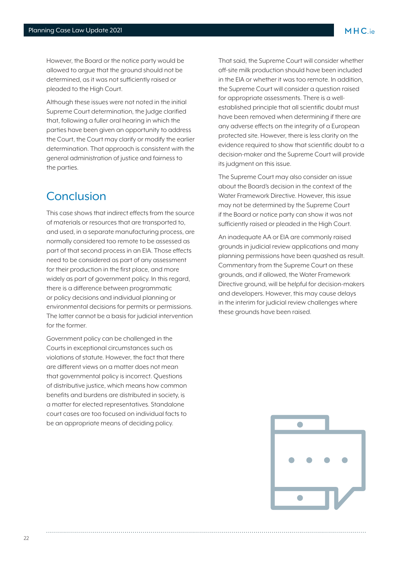However, the Board or the notice party would be allowed to argue that the ground should not be determined, as it was not sufficiently raised or pleaded to the High Court.

Although these issues were not noted in the initial Supreme Court determination, the Judge clarified that, following a fuller oral hearing in which the parties have been given an opportunity to address the Court, the Court may clarify or modify the earlier determination. That approach is consistent with the general administration of justice and fairness to the parties.

#### Conclusion

This case shows that indirect effects from the source of materials or resources that are transported to, and used, in a separate manufacturing process, are normally considered too remote to be assessed as part of that second process in an EIA. Those effects need to be considered as part of any assessment for their production in the first place, and more widely as part of government policy. In this regard, there is a difference between programmatic or policy decisions and individual planning or environmental decisions for permits or permissions. The latter cannot be a basis for judicial intervention for the former.

Government policy can be challenged in the Courts in exceptional circumstances such as violations of statute. However, the fact that there are different views on a matter does not mean that governmental policy is incorrect. Questions of distributive justice, which means how common benefits and burdens are distributed in society, is a matter for elected representatives. Standalone court cases are too focused on individual facts to be an appropriate means of deciding policy.

That said, the Supreme Court will consider whether off-site milk production should have been included in the EIA or whether it was too remote. In addition, the Supreme Court will consider a question raised for appropriate assessments. There is a wellestablished principle that all scientific doubt must have been removed when determining if there are any adverse effects on the integrity of a European protected site. However, there is less clarity on the evidence required to show that scientific doubt to a decision-maker and the Supreme Court will provide its judgment on this issue.

The Supreme Court may also consider an issue about the Board's decision in the context of the Water Framework Directive. However, this issue may not be determined by the Supreme Court if the Board or notice party can show it was not sufficiently raised or pleaded in the High Court.

An inadequate AA or EIA are commonly raised grounds in judicial review applications and many planning permissions have been quashed as result. Commentary from the Supreme Court on these grounds, and if allowed, the Water Framework Directive ground, will be helpful for decision-makers and developers. However, this may cause delays in the interim for judicial review challenges where these grounds have been raised.

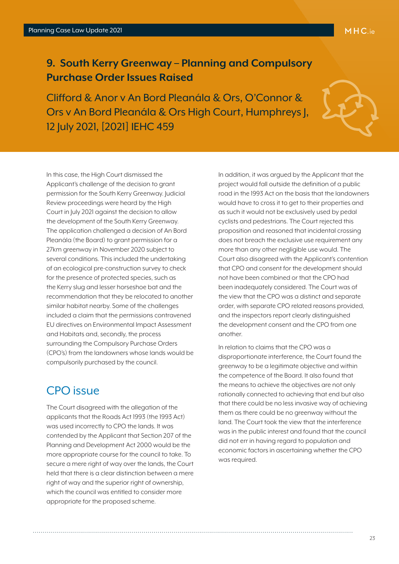#### <span id="page-22-0"></span>**9. South Kerry Greenway – Planning and Compulsory Purchase Order Issues Raised**

Clifford & Anor v An Bord Pleanála & Ors, O'Connor & Ors v An Bord Pleanála & Ors High Court, Humphreys J, 12 July 2021, [2021] IEHC 459



In this case, the High Court dismissed the Applicant's challenge of the decision to grant permission for the South Kerry Greenway. Judicial Review proceedings were heard by the High Court in July 2021 against the decision to allow the development of the South Kerry Greenway. The application challenged a decision of An Bord Pleanála (the Board) to grant permission for a 27km greenway in November 2020 subject to several conditions. This included the undertaking of an ecological pre-construction survey to check for the presence of protected species, such as the Kerry slug and lesser horseshoe bat and the recommendation that they be relocated to another similar habitat nearby. Some of the challenges included a claim that the permissions contravened EU directives on Environmental Impact Assessment and Habitats and, secondly, the process surrounding the Compulsory Purchase Orders (CPO's) from the landowners whose lands would be compulsorily purchased by the council.

#### CPO issue

The Court disagreed with the allegation of the applicants that the Roads Act 1993 (the 1993 Act) was used incorrectly to CPO the lands. It was contended by the Applicant that Section 207 of the Planning and Development Act 2000 would be the more appropriate course for the council to take. To secure a mere right of way over the lands, the Court held that there is a clear distinction between a mere right of way and the superior right of ownership, which the council was entitled to consider more appropriate for the proposed scheme.

In addition, it was argued by the Applicant that the project would fall outside the definition of a public road in the 1993 Act on the basis that the landowners would have to cross it to get to their properties and as such it would not be exclusively used by pedal cyclists and pedestrians. The Court rejected this proposition and reasoned that incidental crossing does not breach the exclusive use requirement any more than any other negligible use would. The Court also disagreed with the Applicant's contention that CPO and consent for the development should not have been combined or that the CPO had been inadequately considered. The Court was of the view that the CPO was a distinct and separate order, with separate CPO related reasons provided, and the inspectors report clearly distinguished the development consent and the CPO from one another.

In relation to claims that the CPO was a disproportionate interference, the Court found the greenway to be a legitimate objective and within the competence of the Board. It also found that the means to achieve the objectives are not only rationally connected to achieving that end but also that there could be no less invasive way of achieving them as there could be no greenway without the land. The Court took the view that the interference was in the public interest and found that the council did not err in having regard to population and economic factors in ascertaining whether the CPO was required.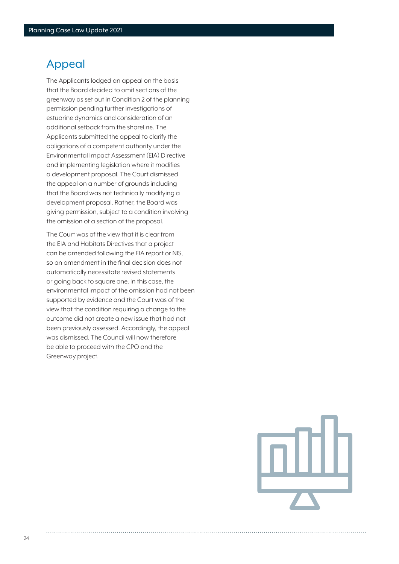#### Appeal

The Applicants lodged an appeal on the basis that the Board decided to omit sections of the greenway as set out in Condition 2 of the planning permission pending further investigations of estuarine dynamics and consideration of an additional setback from the shoreline. The Applicants submitted the appeal to clarify the obligations of a competent authority under the Environmental Impact Assessment (EIA) Directive and implementing legislation where it modifies a development proposal. The Court dismissed the appeal on a number of grounds including that the Board was not technically modifying a development proposal. Rather, the Board was giving permission, subject to a condition involving the omission of a section of the proposal.

The Court was of the view that it is clear from the EIA and Habitats Directives that a project can be amended following the EIA report or NIS, so an amendment in the final decision does not automatically necessitate revised statements or going back to square one. In this case, the environmental impact of the omission had not been supported by evidence and the Court was of the view that the condition requiring a change to the outcome did not create a new issue that had not been previously assessed. Accordingly, the appeal was dismissed. The Council will now therefore be able to proceed with the CPO and the Greenway project.

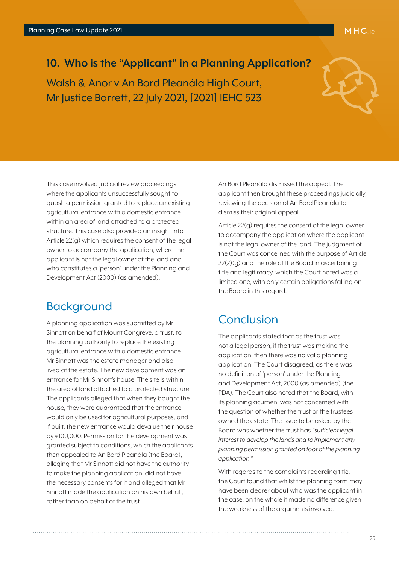#### <span id="page-24-0"></span>**10. Who is the "Applicant" in a Planning Application?**

Walsh & Anor v An Bord Pleanála High Court, Mr Justice Barrett, 22 July 2021, [2021] IEHC 523

This case involved judicial review proceedings where the applicants unsuccessfully sought to quash a permission granted to replace an existing agricultural entrance with a domestic entrance within an area of land attached to a protected structure. This case also provided an insight into Article 22(g) which requires the consent of the legal owner to accompany the application, where the applicant is not the legal owner of the land and who constitutes a 'person' under the Planning and Development Act (2000) (as amended).

#### **Background**

A planning application was submitted by Mr Sinnott on behalf of Mount Congreve, a trust, to the planning authority to replace the existing agricultural entrance with a domestic entrance. Mr Sinnott was the estate manager and also lived at the estate. The new development was an entrance for Mr Sinnott's house. The site is within the area of land attached to a protected structure. The applicants alleged that when they bought the house, they were guaranteed that the entrance would only be used for agricultural purposes, and if built, the new entrance would devalue their house by €100,000. Permission for the development was granted subject to conditions, which the applicants then appealed to An Bord Pleanála (the Board), alleging that Mr Sinnott did not have the authority to make the planning application, did not have the necessary consents for it and alleged that Mr Sinnott made the application on his own behalf, rather than on behalf of the trust.

An Bord Pleanála dismissed the appeal. The applicant then brought these proceedings judicially, reviewing the decision of An Bord Pleanála to dismiss their original appeal.

Article 22(g) requires the consent of the legal owner to accompany the application where the applicant is not the legal owner of the land. The judgment of the Court was concerned with the purpose of Article  $22(2)(q)$  and the role of the Board in ascertaining title and legitimacy, which the Court noted was a limited one, with only certain obligations falling on the Board in this regard.

#### Conclusion

The applicants stated that as the trust was not a legal person, if the trust was making the application, then there was no valid planning application. The Court disagreed, as there was no definition of 'person' under the Planning and Development Act, 2000 (as amended) (the PDA). The Court also noted that the Board, with its planning acumen, was not concerned with the question of whether the trust or the trustees owned the estate. The issue to be asked by the Board was whether the trust has *"sufficient legal interest to develop the lands and to implement any planning permission granted on foot of the planning application."*

With regards to the complaints regarding title, the Court found that whilst the planning form may have been clearer about who was the applicant in the case, on the whole it made no difference given the weakness of the arguments involved.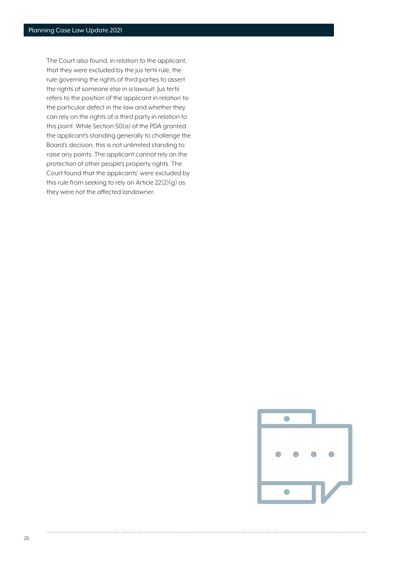The Court also found, in relation to the applicant, that they were excluded by the jus tertii rule, the rule governing the rights of third parties to assert the rights of someone else in a lawsuit. Jus tertii refers to the position of the applicant in relation to the particular defect in the law and whether they can rely on the rights of a third party in relation to this point. While Section 50(a) of the PDA granted the applicant's standing generally to challenge the Board's decision, this is not unlimited standing to raise any points. The applicant cannot rely on the protection of other people's property rights. The Court found that the applicants' were excluded by this rule from seeking to rely on Article 22(2)(g) as they were not the affected landowner.

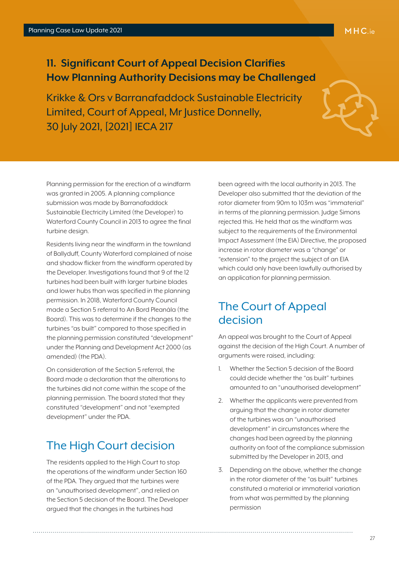#### <span id="page-26-0"></span>**11. Significant Court of Appeal Decision Clarifies How Planning Authority Decisions may be Challenged**

Krikke & Ors v Barranafaddock Sustainable Electricity Limited, Court of Appeal, Mr Justice Donnelly, 30 July 2021, [2021] IECA 217

Planning permission for the erection of a windfarm was granted in 2005. A planning compliance submission was made by Barranafaddock Sustainable Electricity Limited (the Developer) to Waterford County Council in 2013 to agree the final turbine design.

Residents living near the windfarm in the townland of Ballyduff, County Waterford complained of noise and shadow flicker from the windfarm operated by the Developer. Investigations found that 9 of the 12 turbines had been built with larger turbine blades and lower hubs than was specified in the planning permission. In 2018, Waterford County Council made a Section 5 referral to An Bord Pleanála (the Board). This was to determine if the changes to the turbines "as built" compared to those specified in the planning permission constituted "development" under the Planning and Development Act 2000 (as amended) (the PDA).

On consideration of the Section 5 referral, the Board made a declaration that the alterations to the turbines did not come within the scope of the planning permission. The board stated that they constituted "development" and not "exempted development" under the PDA.

#### The High Court decision

The residents applied to the High Court to stop the operations of the windfarm under Section 160 of the PDA. They argued that the turbines were an "unauthorised development", and relied on the Section 5 decision of the Board. The Developer argued that the changes in the turbines had

been agreed with the local authority in 2013. The Developer also submitted that the deviation of the rotor diameter from 90m to 103m was "immaterial" in terms of the planning permission. Judge Simons rejected this. He held that as the windfarm was subject to the requirements of the Environmental Impact Assessment (the EIA) Directive, the proposed increase in rotor diameter was a "change" or "extension" to the project the subject of an EIA which could only have been lawfully authorised by an application for planning permission.

#### The Court of Appeal decision

An appeal was brought to the Court of Appeal against the decision of the High Court. A number of arguments were raised, including:

- 1. Whether the Section 5 decision of the Board could decide whether the "as built" turbines amounted to an "unauthorised development"
- 2. Whether the applicants were prevented from arguing that the change in rotor diameter of the turbines was an "unauthorised development" in circumstances where the changes had been agreed by the planning authority on foot of the compliance submission submitted by the Developer in 2013, and
- 3. Depending on the above, whether the change in the rotor diameter of the "as built" turbines constituted a material or immaterial variation from what was permitted by the planning permission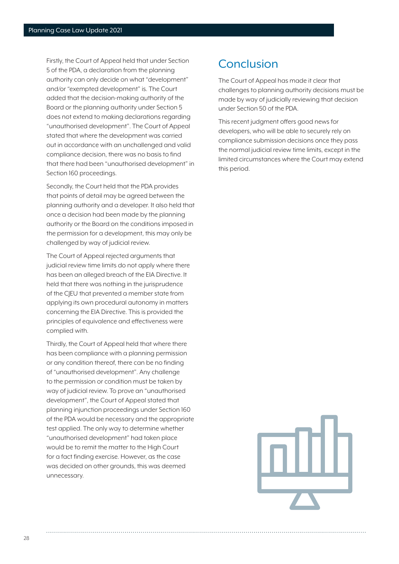Firstly, the Court of Appeal held that under Section 5 of the PDA, a declaration from the planning authority can only decide on what "development" and/or "exempted development" is. The Court added that the decision-making authority of the Board or the planning authority under Section 5 does not extend to making declarations regarding "unauthorised development". The Court of Appeal stated that where the development was carried out in accordance with an unchallenged and valid compliance decision, there was no basis to find that there had been "unauthorised development" in Section 160 proceedings.

Secondly, the Court held that the PDA provides that points of detail may be agreed between the planning authority and a developer. It also held that once a decision had been made by the planning authority or the Board on the conditions imposed in the permission for a development, this may only be challenged by way of judicial review.

The Court of Appeal rejected arguments that judicial review time limits do not apply where there has been an alleged breach of the EIA Directive. It held that there was nothing in the jurisprudence of the CJEU that prevented a member state from applying its own procedural autonomy in matters concerning the EIA Directive. This is provided the principles of equivalence and effectiveness were complied with.

Thirdly, the Court of Appeal held that where there has been compliance with a planning permission or any condition thereof, there can be no finding of "unauthorised development". Any challenge to the permission or condition must be taken by way of judicial review. To prove an "unauthorised development", the Court of Appeal stated that planning injunction proceedings under Section 160 of the PDA would be necessary and the appropriate test applied. The only way to determine whether "unauthorised development" had taken place would be to remit the matter to the High Court for a fact finding exercise. However, as the case was decided on other grounds, this was deemed unnecessary.

#### Conclusion

The Court of Appeal has made it clear that challenges to planning authority decisions must be made by way of judicially reviewing that decision under Section 50 of the PDA.

This recent judgment offers good news for developers, who will be able to securely rely on compliance submission decisions once they pass the normal judicial review time limits, except in the limited circumstances where the Court may extend this period.

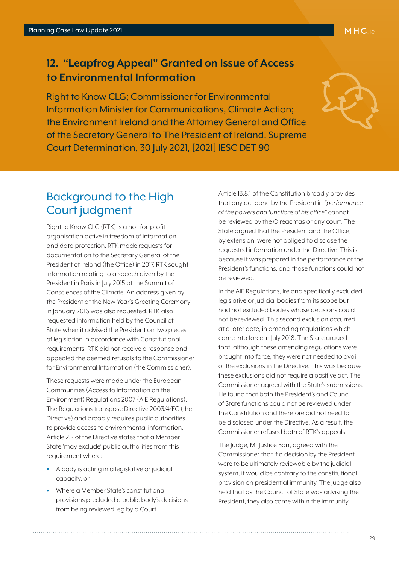#### MHC.ie

#### <span id="page-28-0"></span>**12. "Leapfrog Appeal" Granted on Issue of Access to Environmental Information**

Right to Know CLG; Commissioner for Environmental Information Minister for Communications, Climate Action; the Environment Ireland and the Attorney General and Office of the Secretary General to The President of Ireland. Supreme Court Determination, 30 July 2021, [2021] IESC DET 90



# Background to the High Court judgment

Right to Know CLG (RTK) is a not-for-profit organisation active in freedom of information and data protection. RTK made requests for documentation to the Secretary General of the President of Ireland (the Office) in 2017. RTK sought information relating to a speech given by the President in Paris in July 2015 at the Summit of Consciences of the Climate. An address given by the President at the New Year's Greeting Ceremony in January 2016 was also requested. RTK also requested information held by the Council of State when it advised the President on two pieces of legislation in accordance with Constitutional requirements. RTK did not receive a response and appealed the deemed refusals to the Commissioner for Environmental Information (the Commissioner).

These requests were made under the European Communities (Access to Information on the Environment) Regulations 2007 (AIE Regulations). The Regulations transpose Directive 2003/4/EC (the Directive) and broadly requires public authorities to provide access to environmental information. Article 2.2 of the Directive states that a Member State 'may exclude' public authorities from this requirement where:

- A body is acting in a legislative or judicial capacity, or
- Where a Member State's constitutional provisions precluded a public body's decisions from being reviewed, eg by a Court

Article 13.8.1 of the Constitution broadly provides that any act done by the President in *"performance of the powers and functions of his office"* cannot be reviewed by the Oireachtas or any court. The State argued that the President and the Office, by extension, were not obliged to disclose the requested information under the Directive. This is because it was prepared in the performance of the President's functions, and those functions could not be reviewed.

In the AIE Regulations, Ireland specifically excluded legislative or judicial bodies from its scope but had not excluded bodies whose decisions could not be reviewed. This second exclusion occurred at a later date, in amending regulations which came into force in July 2018. The State argued that, although these amending regulations were brought into force, they were not needed to avail of the exclusions in the Directive. This was because these exclusions did not require a positive act. The Commissioner agreed with the State's submissions. He found that both the President's and Council of State functions could not be reviewed under the Constitution and therefore did not need to be disclosed under the Directive. As a result, the Commissioner refused both of RTK's appeals.

The Judge, Mr Justice Barr, agreed with the Commissioner that if a decision by the President were to be ultimately reviewable by the judicial system, it would be contrary to the constitutional provision on presidential immunity. The Judge also held that as the Council of State was advising the President, they also came within the immunity.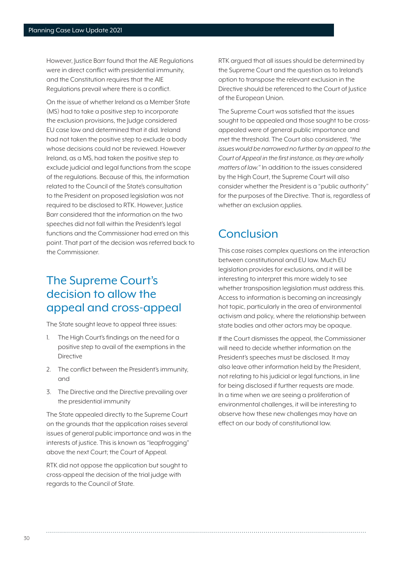However, Justice Barr found that the AIE Regulations were in direct conflict with presidential immunity, and the Constitution requires that the AIE Regulations prevail where there is a conflict.

On the issue of whether Ireland as a Member State (MS) had to take a positive step to incorporate the exclusion provisions, the Judge considered EU case law and determined that it did. Ireland had not taken the positive step to exclude a body whose decisions could not be reviewed. However Ireland, as a MS, had taken the positive step to exclude judicial and legal functions from the scope of the regulations. Because of this, the information related to the Council of the State's consultation to the President on proposed legislation was not required to be disclosed to RTK. However, Justice Barr considered that the information on the two speeches did not fall within the President's legal functions and the Commissioner had erred on this point. That part of the decision was referred back to the Commissioner.

#### The Supreme Court's decision to allow the appeal and cross-appeal

The State sought leave to appeal three issues:

- 1. The High Court's findings on the need for a positive step to avail of the exemptions in the Directive
- 2. The conflict between the President's immunity, and
- 3. The Directive and the Directive prevailing over the presidential immunity

The State appealed directly to the Supreme Court on the grounds that the application raises several issues of general public importance and was in the interests of justice. This is known as "leapfrogging" above the next Court; the Court of Appeal.

RTK did not oppose the application but sought to cross-appeal the decision of the trial judge with regards to the Council of State.

RTK argued that all issues should be determined by the Supreme Court and the question as to Ireland's option to transpose the relevant exclusion in the Directive should be referenced to the Court of Justice of the European Union.

The Supreme Court was satisfied that the issues sought to be appealed and those sought to be crossappealed were of general public importance and met the threshold. The Court also considered, *"the issues would be narrowed no further by an appeal to the Court of Appeal in the first instance, as they are wholly matters of law."* In addition to the issues considered by the High Court, the Supreme Court will also consider whether the President is a "public authority" for the purposes of the Directive. That is, regardless of whether an exclusion applies.

#### Conclusion

This case raises complex questions on the interaction between constitutional and EU law. Much EU legislation provides for exclusions, and it will be interesting to interpret this more widely to see whether transposition legislation must address this. Access to information is becoming an increasingly hot topic, particularly in the area of environmental activism and policy, where the relationship between state bodies and other actors may be opaque.

If the Court dismisses the appeal, the Commissioner will need to decide whether information on the President's speeches must be disclosed. It may also leave other information held by the President, not relating to his judicial or legal functions, in line for being disclosed if further requests are made. In a time when we are seeing a proliferation of environmental challenges, it will be interesting to observe how these new challenges may have an effect on our body of constitutional law.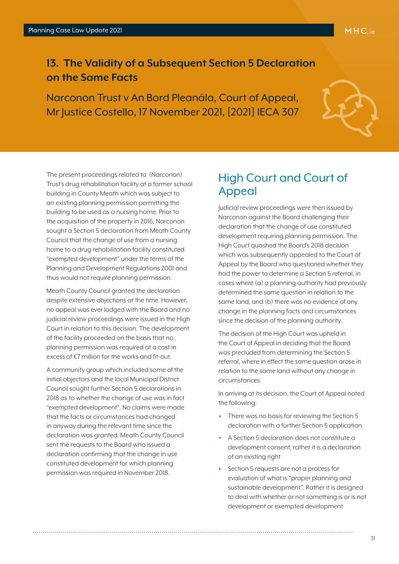#### <span id="page-30-0"></span>**13. The Validity of a Subsequent Section 5 Declaration on the Same Facts**

Narconon Trust v An Bord Pleanála, Court of Appeal, Mr Justice Costello, 17 November 2021, [2021] IECA 307



The present proceedings related to (Narconon) Trust's drug rehabilitation facility at a former school building in County Meath which was subject to an existing planning permission permitting the building to be used as a nursing home. Prior to the acquisition of the property in 2016, Narconon sought a Section 5 declaration from Meath County Council that the change of use from a nursing home to a drug rehabilitation facility constituted "exempted development" under the terms of the Planning and Development Regulations 2001 and thus would not require planning permission.

Meath County Council granted the declaration despite extensive objections at the time. However, no appeal was ever lodged with the Board and no judicial review proceedings were issued in the High Court in relation to this decision. The development of the facility proceeded on the basis that no planning permission was required at a cost in excess of €7 million for the works and fit-out.

A community group which included some of the initial objectors and the local Municipal District Council sought further Section 5 declarations in 2018 as to whether the change of use was in fact "exempted development". No claims were made that the facts or circumstances had changed in anyway during the relevant time since the declaration was granted. Meath County Council sent the requests to the Board who issued a declaration confirming that the change in use constituted development for which planning permission was required in November 2018.

#### High Court and Court of Appeal

Judicial review proceedings were then issued by Narconon against the Board challenging their declaration that the change of use constituted development requiring planning permission. The High Court quashed the Board's 2018 decision which was subsequently appealed to the Court of Appeal by the Board who questioned whether they had the power to determine a Section 5 referral, in cases where (a) a planning authority had previously determined the same question in relation to the same land, and (b) there was no evidence of any change in the planning facts and circumstances since the decision of the planning authority.

The decision of the High Court was upheld in the Court of Appeal in deciding that the Board was precluded from determining the Section 5 referral, where in effect the same question arose in relation to the same land without any change in circumstances.

In arriving at its decision, the Court of Appeal noted the following:

- There was no basis for reviewing the Section 5 declaration with a further Section 5 application
- A Section 5 declaration does not constitute a development consent, rather it is a declaration of an existing right
- Section 5 requests are not a process for evaluation of what is "proper planning and sustainable development". Rather it is designed to deal with whether or not something is or is not development or exempted development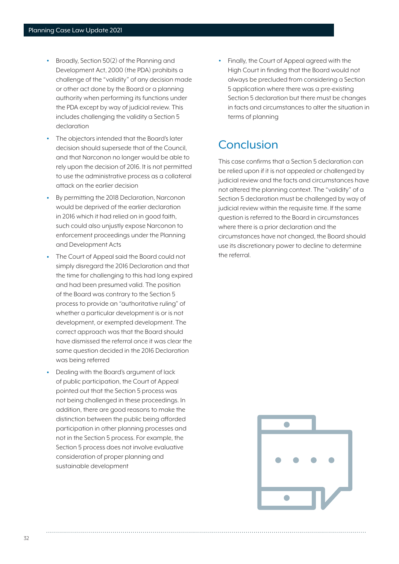- Broadly, Section 50(2) of the Planning and Development Act, 2000 (the PDA) prohibits a challenge of the "validity" of any decision made or other act done by the Board or a planning authority when performing its functions under the PDA except by way of judicial review. This includes challenging the validity a Section 5 declaration
- The objectors intended that the Board's later decision should supersede that of the Council, and that Narconon no longer would be able to rely upon the decision of 2016. It is not permitted to use the administrative process as a collateral attack on the earlier decision
- By permitting the 2018 Declaration, Narconon would be deprived of the earlier declaration in 2016 which it had relied on in good faith, such could also unjustly expose Narconon to enforcement proceedings under the Planning and Development Acts
- The Court of Appeal said the Board could not simply disregard the 2016 Declaration and that the time for challenging to this had long expired and had been presumed valid. The position of the Board was contrary to the Section 5 process to provide an "authoritative ruling" of whether a particular development is or is not development, or exempted development. The correct approach was that the Board should have dismissed the referral once it was clear the same question decided in the 2016 Declaration was being referred
- Dealing with the Board's argument of lack of public participation, the Court of Appeal pointed out that the Section 5 process was not being challenged in these proceedings. In addition, there are good reasons to make the distinction between the public being afforded participation in other planning processes and not in the Section 5 process. For example, the Section 5 process does not involve evaluative consideration of proper planning and sustainable development

• Finally, the Court of Appeal agreed with the High Court in finding that the Board would not always be precluded from considering a Section 5 application where there was a pre-existing Section 5 declaration but there must be changes in facts and circumstances to alter the situation in terms of planning

# Conclusion

This case confirms that a Section 5 declaration can be relied upon if it is not appealed or challenged by judicial review and the facts and circumstances have not altered the planning context. The "validity" of a Section 5 declaration must be challenged by way of judicial review within the requisite time. If the same question is referred to the Board in circumstances where there is a prior declaration and the circumstances have not changed, the Board should use its discretionary power to decline to determine the referral.

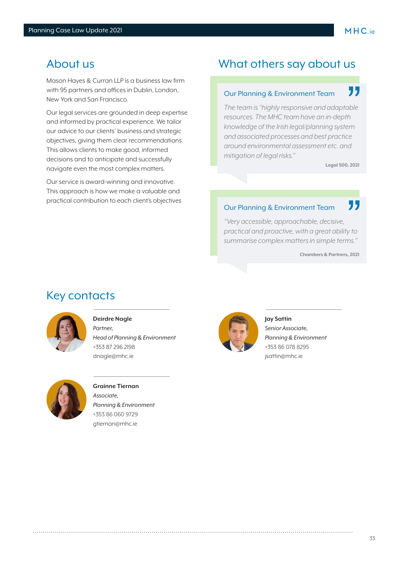#### About us

Mason Hayes & Curran LLP is a business law firm with 95 partners and offices in Dublin, London, New York and San Francisco.

Our legal services are grounded in deep expertise and informed by practical experience. We tailor our advice to our clients' business and strategic objectives, giving them clear recommendations. This allows clients to make good, informed decisions and to anticipate and successfully navigate even the most complex matters.

Our service is award-winning and innovative. This approach is how we make a valuable and practical contribution to each client's objectives

#### What others say about us

#### 77 Our Planning & Environment Team

*The team is "highly responsive and adaptable resources. The MHC team have an in-depth knowledge of the Irish legal/planning system and associated processes and best practice around environmental assessment etc. and mitigation of legal risks."*

**Legal 500, 2021**

#### 77 Our Planning & Environment Team

*"Very accessible, approachable, decisive, practical and proactive, with a great ability to summarise complex matters in simple terms."*

**Chambers & Partners, 2021**

#### Key contacts



#### **Deirdre Nagle**

*Partner, Head of Planning & Environment* +353 87 296 2198 dnagle@mhc.ie



#### **Grainne Tiernan** *Associate, Planning & Environment* +353 86 060 9729 gtiernan@mhc.ie



**Jay Sattin** *Senior Associate, Planning & Environment* +353 86 078 8295 jsattin@mhc.ie